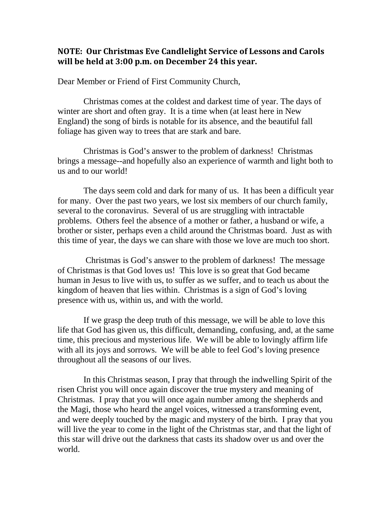## **NOTE: Our Christmas Eve Candlelight Service of Lessons and Carols will be held at 3:00 p.m. on December 24 this year.**

Dear Member or Friend of First Community Church,

Christmas comes at the coldest and darkest time of year. The days of winter are short and often gray. It is a time when (at least here in New England) the song of birds is notable for its absence, and the beautiful fall foliage has given way to trees that are stark and bare.

Christmas is God's answer to the problem of darkness! Christmas brings a message--and hopefully also an experience of warmth and light both to us and to our world!

The days seem cold and dark for many of us. It has been a difficult year for many. Over the past two years, we lost six members of our church family, several to the coronavirus. Several of us are struggling with intractable problems. Others feel the absence of a mother or father, a husband or wife, a brother or sister, perhaps even a child around the Christmas board. Just as with this time of year, the days we can share with those we love are much too short.

Christmas is God's answer to the problem of darkness! The message of Christmas is that God loves us! This love is so great that God became human in Jesus to live with us, to suffer as we suffer, and to teach us about the kingdom of heaven that lies within. Christmas is a sign of God's loving presence with us, within us, and with the world.

If we grasp the deep truth of this message, we will be able to love this life that God has given us, this difficult, demanding, confusing, and, at the same time, this precious and mysterious life. We will be able to lovingly affirm life with all its joys and sorrows. We will be able to feel God's loving presence throughout all the seasons of our lives.

In this Christmas season, I pray that through the indwelling Spirit of the risen Christ you will once again discover the true mystery and meaning of Christmas. I pray that you will once again number among the shepherds and the Magi, those who heard the angel voices, witnessed a transforming event, and were deeply touched by the magic and mystery of the birth. I pray that you will live the year to come in the light of the Christmas star, and that the light of this star will drive out the darkness that casts its shadow over us and over the world.